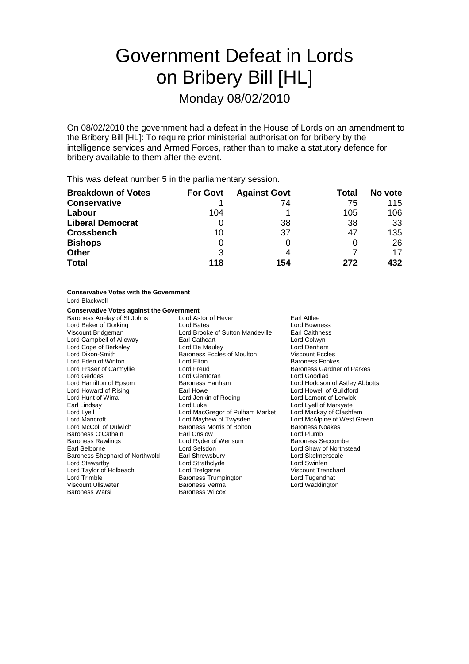# Government Defeat in Lords on Bribery Bill [HL] Monday 08/02/2010

On 08/02/2010 the government had a defeat in the House of Lords on an amendment to the Bribery Bill [HL]: To require prior ministerial authorisation for bribery by the intelligence services and Armed Forces, rather than to make a statutory defence for bribery available to them after the event.

This was defeat number 5 in the parliamentary session.

| <b>Breakdown of Votes</b> | <b>For Govt</b> | <b>Against Govt</b> | Total | No vote |
|---------------------------|-----------------|---------------------|-------|---------|
| <b>Conservative</b>       |                 | 74                  | 75    | 115     |
| Labour                    | 104             |                     | 105   | 106     |
| <b>Liberal Democrat</b>   |                 | 38                  | 38    | -33     |
| <b>Crossbench</b>         | 10              | 37                  | 47    | 135     |
| <b>Bishops</b>            |                 |                     |       | 26      |
| <b>Other</b>              | 3               | 4                   |       | 17      |
| <b>Total</b>              | 118             | 154                 | 272   | 432     |

## **Conservative Votes with the Government**

Lord Blackwell

### **Conservative Votes against the Government**

Baroness Anelay of St Johns Lord Astor of Hever Farl Attlee<br>
Lord Baker of Dorking **Lord Bates**<br>
Lord Bowness Lord Baker of Dorking **Lord Bates** Lord Bowness<br>
Viscount Bridgeman **Lord Brooke of Sutton Mandeville** Earl Caithness Lord Brooke of Sutton Mandeville Earl Caithnes<br>Earl Cathcart Lord Colwyn Lord Campbell of Alloway **Earl Cathcart**<br>
Lord Cope of Berkeley **Earl Cathcart** Lord Cope of Berkeley **Lord De Mauley** Lord Denham Lord Dixon-Smith Baroness Eccles of Moulton Viscount Eccles Lord Eden of Winton Lord Elton Baroness Fookes Lord Fraser of Carmyllie and Lord Freud Baroness Gardner of Parkes<br>
Lord Geddes Cord Baroness Cord Guerran Lord Goodlad Lord Geddes **Lord Glentoran**<br>
Lord Hamilton of Epsom **Baroness** Hanham Lord Howard of Rising Lord Hunt of Wirral Lord Jenkin of Roding Lord Lamont of Lerwick Earl Lindsay **Lotte Lord Luke Long Lord Lyell of Markyate**<br>
Lord Lyell of Markyate Lord MacGregor of Pulham Market Lord Mackay of Clashfern Lord Lyell Lord MacGregor of Pulham Market Lord Mackay of Clashfern Lord Mancroft **Lord Mayhew of Twysden** Lord McAlpine of Vest Green Lord McAlpine of Vest Green Lord McAlpine of V<br>
Lord McColl of Dulwich **Collect Green Containers** Morris of Bolton **Collect Green Containers** Noakes Baroness Morris of Bolton Baroness O'Cathain Earl Onslow Lord Plumb Lord Ryder of Wensum Earl Selborne **Lord Selsdon**<br>
Earl Selsdon **Lord Selsdon**<br>
Lord Skelmersdale<br>
Lord Skelmersdale Baroness Shephard of Northwold Earl Shrewsbury **Example 2008** Lord Skelmer<br>Lord Strathclyde Lord Strathclyde Lord Strathclyde Lord Swinfen Lord Taylor of Holbeach Lord Trefgarne Corporation Corporation Corporation Corporation Corporation Corporation<br>
Lord Trimble Corporation Corporation Corporation Corporation Corporation Corporation Corporation Corporation C Baroness Trumpington Viscount Ullswater **Baroness Verma** Maddington Lord Waddington Baroness Warsi Baroness Wilcox

Baroness Hanham **Baroness Hanham** Lord Hodgson of Astley Abbotts<br>
Lord Howell of Guildford Lord Strathclyde Lord Swinfen<br>
Lord Trefgarne Lord Viscount Trenchard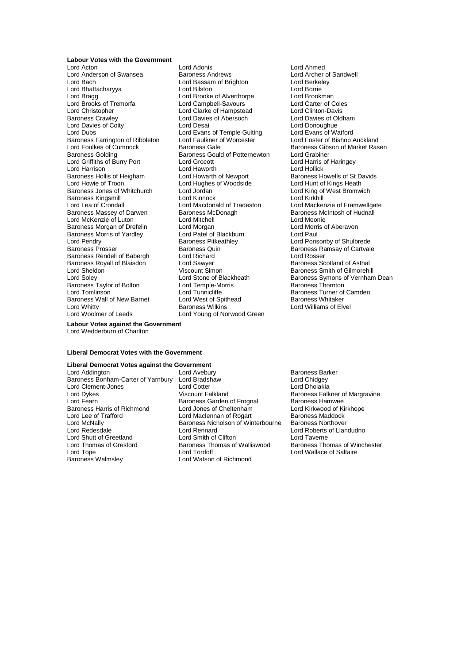## **Labour Votes with the Government**

Lord Anderson of Swansea<br>
Lord Archer of Sandwell<br>
Lord Bassam of Brighton<br>
Lord Barkeley<br>
Lord Barkeley Lord Bhattacharyya Lord Bragg **Lord Brooke of Alverthorpe** Lord Brookman Lord Brooks of Tremorfa Lord Campbell-Savours Lord Carter of Coles Lord Christopher Lord Clarke of Hampstead Lord Clinton-Davis Lord Davies of Coity<br>
Lord Dubs<br>
Lord Dubs
Lord Dubs
Lord Dubs
Lord Dubs
Lord Dubs
Lord Dubs
Lord Dubs
Lord Dubs
Lord Dubs
Lord Dubs
Lord Dubs
Lord Dubs
Lord Dubs
Lord Dubs
Lord Dubs
Lord Dubs
Lord Dubs
Lord Dubs
Lord Dubs Baroness Farrington of Ribbleton<br>Lord Foulkes of Cumnock Baroness Golding and Baroness Gould of Potternewton Lord Grabiner<br>
Lord Griffiths of Burry Port Lord Grocott Lord Lord Harris of Haringey Lord Griffiths of Burry Port Lord Grocott Lord Harris Lord Harris Lord Harris Cord Harris Lord Harris Lord Harris Lord Harris Cord Harris Lord Harris Cord Harris Lord Harris Cord Harris Cord Harris Cord Harris Cord Harris Lord Harrison<br>
Baroness Hollis of Heigham<br>
Lord Howarth of Newport Lord Howie of Troon **Lord Hughes of Woodside** Lord Hunt of Kings Heath<br>Baroness Jones of Whitchurch Lord Jordan Lord Hunt of King of West Bromwich Baroness Jones of Whitchurch Lord Jordan Lord Lord King of Lord King of Regional Lord King of Regional Lord King of Bromwich Bromwich Bromwich Bromwich Bromwich Bromwich Bromwich Bromwich Bromwich Bromwich Bromwich Bromwic Baroness Kingsmill<br>
Lord Lea of Crondall
Lord Lord Macdonald of Tradeston<br>
Lord Lea of Crondall
Lord Macdonald of Tradeston Lord Lea of Crondall **Lord Macdonald of Tradeston** Lord Mackenzie of Framwellgate<br>
Baroness Massev of Darwen Baroness McDonagh Baroness McIntosh of Hudnall Lord McKenzie of Luton Baroness Morgan of Drefelin Lord Morgan Lord Lord Morris of Aberavon<br>
Baroness Morris of Yardley Lord Patel of Blackburn Lord Paul Baroness Morris of Yardley **Lord Patel of Blackburn** Cord Paul<br>
Lord Pendry **Cord Paul Baroness Pitkeathley** Cord Pons Lord Pendry **Example 2** Exercise Section Baroness Pitkeathley<br>Baroness Prosect Baroness Ouin Baroness Baroness Ramsay of Cartyal Surveness Rendell of Babergh Lord Richard<br>
Baroness Royall of Blaisdon Lord Sawyer Lord Baroness Scotland of Asthal Baroness Royall of Blaisdon **Lord Sawyer Lord Sharoness Royall of Blaisdon**<br>
Lord Sheldon **Baroness Scotland Of Asshare** Lord Sheldon **Community Community Community** Viscount Simon Baroness Smith of Gilmorehill<br>
Lord Solev **Community Community Community Community Community Community Community Community Community Community** Baroness Taylor of Bolton Lord Temple-Morris Baroness Thornton Baroness Wall of New Barnet

Lord Acton Lord Adonis Lord Ahmed Lord Bassam of Brighton Lord Berkel<br>
Lord Bilston Lord Borrie Lord Davies of Abersoch Lord Evans of Temple Guiting Lord Evans of Watford<br>
Lord Faulkner of Worcester Lord Foster of Bishop Auckland Baroness McDonagh Baroness McIntosh of Hudnall<br>
Lord Mitchell<br>
Lord Moonie Baroness Quin **Baroness Ramsay of Cartvale**<br> **Baroness Ramsay of Cartvale**<br> **Baroness Ramsay of Cartvale** Lord Tunnicliffe **Baroness Turner of Camden**<br>
Lord West of Spithead **Baroness Whitaker** Lord Whitty **Baroness Wilkins** Cord Williams of Elvel Baroness Wilkins **Lord Williams of Elvel**<br>
Lord Woolmer of Leeds **Lord Young of Norwood Green** Lord Young of Norwood Green

**Baroness Gale Exercise School Baroness Gibson of Market Rasen** Baroness Howells of St Davids Baroness Symons of Vernham Dean

**Labour Votes against the Government** Lord Wedderburn of Charlton

#### **Liberal Democrat Votes with the Government**

# **Liberal Democrat Votes against the Government**

Baroness Bonham-Carter of Yarnbury Lord Bradshaw Baroness Harris of Richmond Lord Thomas of Gresford Baroness Thomas of Walliswood<br>
Lord Torder Corpus Lord Tordoff Baroness Walmsley **Lord Watson of Richmond** 

- Lord Clement-Jones Lord Cotter Lord Cotter Lord Dholakia<br>Lord Dvkes Lord Dholakia Uiscount Falkland Baroness Falk Lord Dykes 
viscount Falkland
University Baroness Falkner of Margravine
Baroness<br>
Lord Fearn
Baroness Garden of Frognal
Baroness Hamwee
Baroness Hamwee

Lord Fearn
University Communication Communication Communication Daron Exaroness Garden of Frognal Baroness Hamwee<br>
Lord Jones of Cheltenham<br>
Lord Kirkwood of Kirkhope Lord Lee of Trafford **Lord Maclennan of Rogart** Baroness Maddock<br>
Lord McNally **Collection** Baroness Nicholson of Winterbourne Baroness Northover Lord McNally **Baroness Nicholson of Winterbourne**<br> **Lord Redesdale Baroness Nicholson of Winterbourne** Lord Redesdale Lord Rennard Lord Roberts of Llandudno Lord Shutt of Greetland Lord Smith of Clifton Lord Taverne<br>Lord Thomas of Gresford Baroness Thomas of Walliswood Baroness Thomas of Winchester
	- Baroness Barker<br>Lord Chidgey Lord Wallace of Saltaire